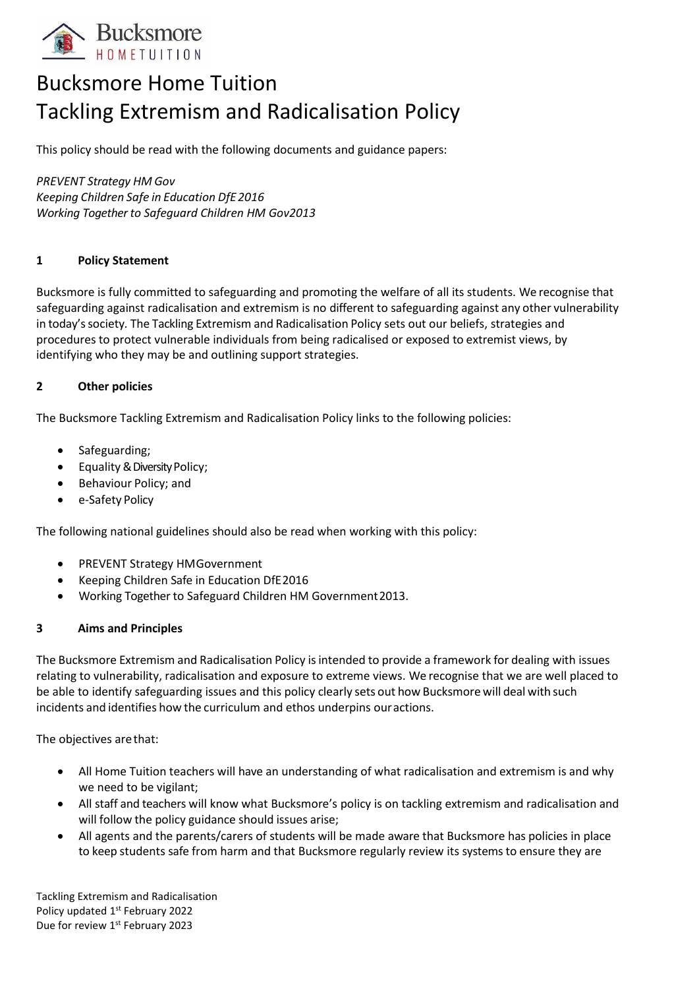

# Bucksmore Home Tuition Tackling Extremism and Radicalisation Policy

This policy should be read with the following documents and guidance papers:

*PREVENT Strategy HM Gov Keeping Children Safe in Education DfE2016 Working Together to Safeguard Children HM Gov2013*

# **1 Policy Statement**

Bucksmore is fully committed to safeguarding and promoting the welfare of all its students. We recognise that safeguarding against radicalisation and extremism is no different to safeguarding against any other vulnerability in today'ssociety*.* The Tackling Extremism and Radicalisation Policy sets out our beliefs, strategies and procedures to protect vulnerable individuals from being radicalised or exposed to extremist views, by identifying who they may be and outlining support strategies.

# **2 Other policies**

The Bucksmore Tackling Extremism and Radicalisation Policy links to the following policies:

- Safeguarding;
- Equality& Diversity Policy;
- Behaviour Policy; and
- e-Safety Policy

The following national guidelines should also be read when working with this policy:

- PREVENT Strategy HMGovernment
- Keeping Children Safe in Education DfE2016
- Working Together to Safeguard Children HM Government2013.

#### **3 Aims and Principles**

The Bucksmore Extremism and Radicalisation Policy is intended to provide a framework for dealing with issues relating to vulnerability, radicalisation and exposure to extreme views. We recognise that we are well placed to be able to identify safeguarding issues and this policy clearly sets out how Bucksmore will deal with such incidents and identifies how the curriculum and ethos underpins ouractions.

The objectives arethat:

- All Home Tuition teachers will have an understanding of what radicalisation and extremism is and why we need to be vigilant;
- All staff and teachers will know what Bucksmore's policy is on tackling extremism and radicalisation and will follow the policy guidance should issues arise;
- All agents and the parents/carers of students will be made aware that Bucksmore has policies in place to keep students safe from harm and that Bucksmore regularly review its systems to ensure they are

Tackling Extremism and Radicalisation Policy updated 1st February 2022 Due for review 1<sup>st</sup> February 2023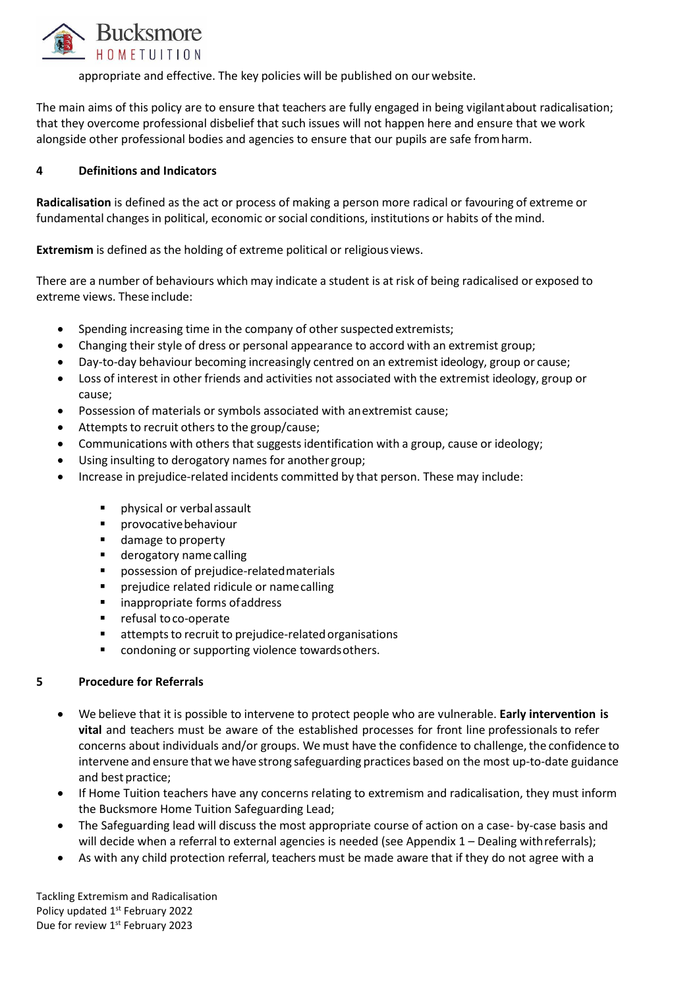

appropriate and effective. The key policies will be published on our website.

The main aims of this policy are to ensure that teachers are fully engaged in being vigilantabout radicalisation; that they overcome professional disbelief that such issues will not happen here and ensure that we work alongside other professional bodies and agencies to ensure that our pupils are safe fromharm.

# **4 Definitions and Indicators**

**Radicalisation** is defined as the act or process of making a person more radical or favouring of extreme or fundamental changes in political, economic orsocial conditions, institutions or habits of the mind.

**Extremism** is defined as the holding of extreme political or religious views.

There are a number of behaviours which may indicate a student is at risk of being radicalised or exposed to extreme views. These include:

- Spending increasing time in the company of other suspected extremists;
- Changing their style of dress or personal appearance to accord with an extremist group;
- Day-to-day behaviour becoming increasingly centred on an extremist ideology, group or cause;
- Loss of interest in other friends and activities not associated with the extremist ideology, group or cause;
- Possession of materials or symbols associated with anextremist cause;
- Attempts to recruit others to the group/cause;
- Communications with others that suggests identification with a group, cause or ideology;
- Using insulting to derogatory names for another group;
- Increase in prejudice-related incidents committed by that person. These may include:
	- physical or verbal assault
	- provocativebehaviour
	- damage to property
	- derogatory name calling
	- possession of prejudice-related materials
	- prejudice related ridicule or namecalling
	- inappropriate forms of address
	- refusal to co-operate
	- attempts to recruit to prejudice-related organisations
	- condoning or supporting violence towards others.

#### **5 Procedure for Referrals**

- We believe that it is possible to intervene to protect people who are vulnerable. **Early intervention is vital** and teachers must be aware of the established processes for front line professionals to refer concerns about individuals and/or groups. We must have the confidence to challenge, the confidence to intervene and ensure that we have strong safeguarding practices based on the most up-to-date guidance and best practice;
- If Home Tuition teachers have any concerns relating to extremism and radicalisation, they must inform the Bucksmore Home Tuition Safeguarding Lead;
- The Safeguarding lead will discuss the most appropriate course of action on a case- by-case basis and will decide when a referral to external agencies is needed (see Appendix 1 – Dealing with referrals);
- As with any child protection referral, teachers must be made aware that if they do not agree with a

Tackling Extremism and Radicalisation Policy updated 1st February 2022 Due for review 1<sup>st</sup> February 2023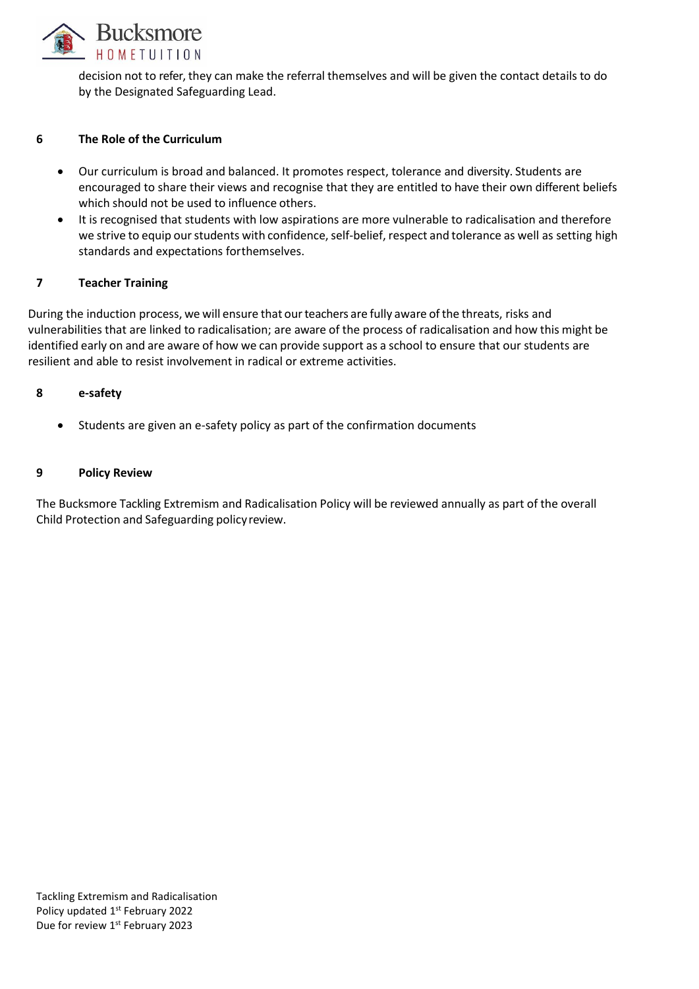

decision not to refer, they can make the referral themselves and will be given the contact details to do by the Designated Safeguarding Lead.

#### **6 The Role of the Curriculum**

- Our curriculum is broad and balanced. It promotes respect, tolerance and diversity. Students are encouraged to share their views and recognise that they are entitled to have their own different beliefs which should not be used to influence others.
- It is recognised that students with low aspirations are more vulnerable to radicalisation and therefore we strive to equip our students with confidence, self-belief, respect and tolerance as well as setting high standards and expectations forthemselves.

# **7 Teacher Training**

During the induction process, we will ensure that our teachers are fully aware of the threats, risks and vulnerabilities that are linked to radicalisation; are aware of the process of radicalisation and how this might be identified early on and are aware of how we can provide support as a school to ensure that our students are resilient and able to resist involvement in radical or extreme activities.

# **8 e-safety**

• Students are given an e-safety policy as part of the confirmation documents

#### **9 Policy Review**

The Bucksmore Tackling Extremism and Radicalisation Policy will be reviewed annually as part of the overall Child Protection and Safeguarding policyreview.